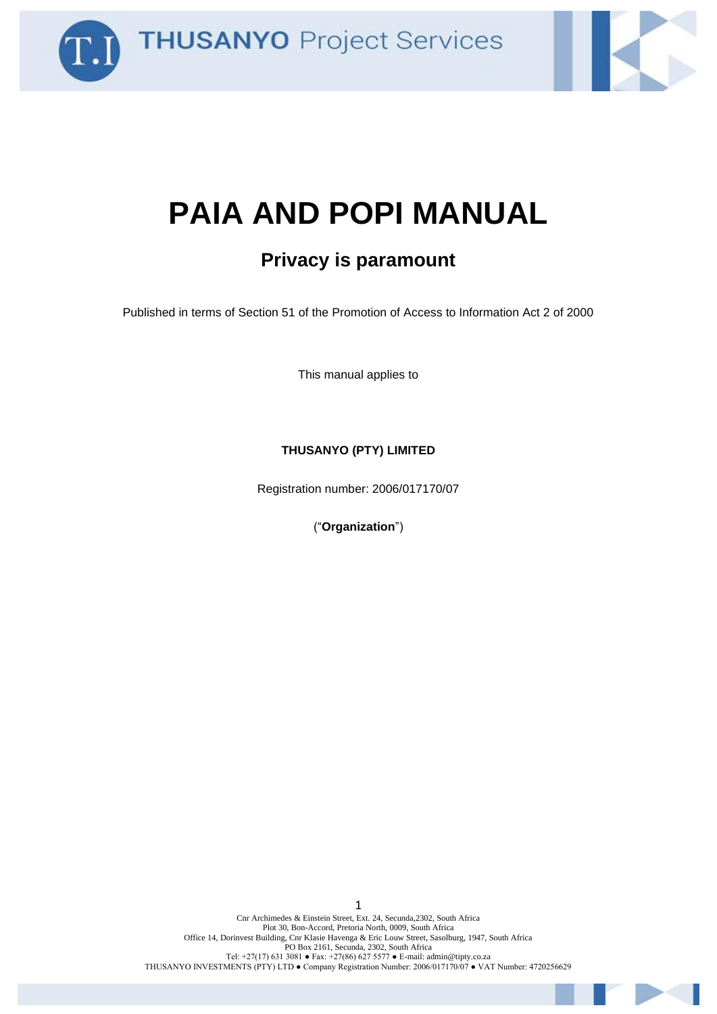



# **PAIA AND POPI MANUAL**

### **Privacy is paramount**

Published in terms of Section 51 of the Promotion of Access to Information Act 2 of 2000

This manual applies to

#### **THUSANYO (PTY) LIMITED**

Registration number: 2006/017170/07

("**Organization**")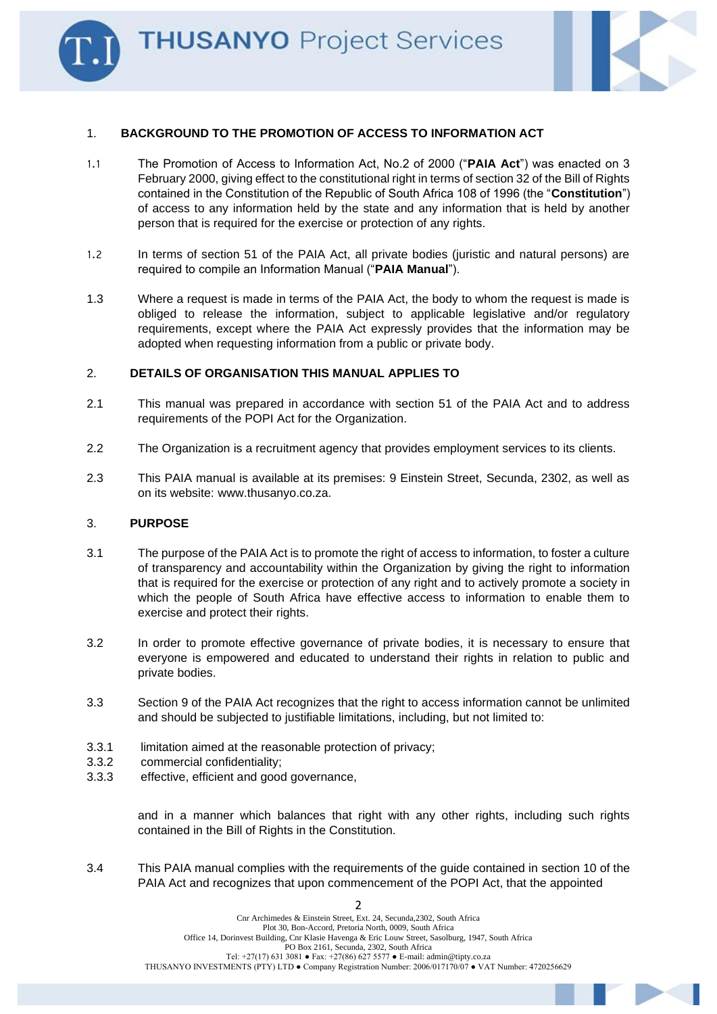

#### 1. **BACKGROUND TO THE PROMOTION OF ACCESS TO INFORMATION ACT**

- 1.1 The Promotion of Access to Information Act, No.2 of 2000 ("**PAIA Act**") was enacted on 3 February 2000, giving effect to the constitutional right in terms of section 32 of the Bill of Rights contained in the Constitution of the Republic of South Africa 108 of 1996 (the "**Constitution**") of access to any information held by the state and any information that is held by another person that is required for the exercise or protection of any rights.
- 1.2 In terms of section 51 of the PAIA Act, all private bodies (juristic and natural persons) are required to compile an Information Manual ("**PAIA Manual**").
- 1.3 Where a request is made in terms of the PAIA Act, the body to whom the request is made is obliged to release the information, subject to applicable legislative and/or regulatory requirements, except where the PAIA Act expressly provides that the information may be adopted when requesting information from a public or private body.

#### 2. **DETAILS OF ORGANISATION THIS MANUAL APPLIES TO**

- 2.1 This manual was prepared in accordance with section 51 of the PAIA Act and to address requirements of the POPI Act for the Organization.
- 2.2 The Organization is a recruitment agency that provides employment services to its clients.
- 2.3 This PAIA manual is available at its premises: 9 Einstein Street, Secunda, 2302, as well as on its website: www.thusanyo.co.za.

#### 3. **PURPOSE**

- 3.1 The purpose of the PAIA Act is to promote the right of access to information, to foster a culture of transparency and accountability within the Organization by giving the right to information that is required for the exercise or protection of any right and to actively promote a society in which the people of South Africa have effective access to information to enable them to exercise and protect their rights.
- 3.2 In order to promote effective governance of private bodies, it is necessary to ensure that everyone is empowered and educated to understand their rights in relation to public and private bodies.
- 3.3 Section 9 of the PAIA Act recognizes that the right to access information cannot be unlimited and should be subjected to justifiable limitations, including, but not limited to:
- 3.3.1 limitation aimed at the reasonable protection of privacy;
- 3.3.2 commercial confidentiality;
- 3.3.3 effective, efficient and good governance,

and in a manner which balances that right with any other rights, including such rights contained in the Bill of Rights in the Constitution.

3.4 This PAIA manual complies with the requirements of the guide contained in section 10 of the PAIA Act and recognizes that upon commencement of the POPI Act, that the appointed

 $\overline{\phantom{0}}$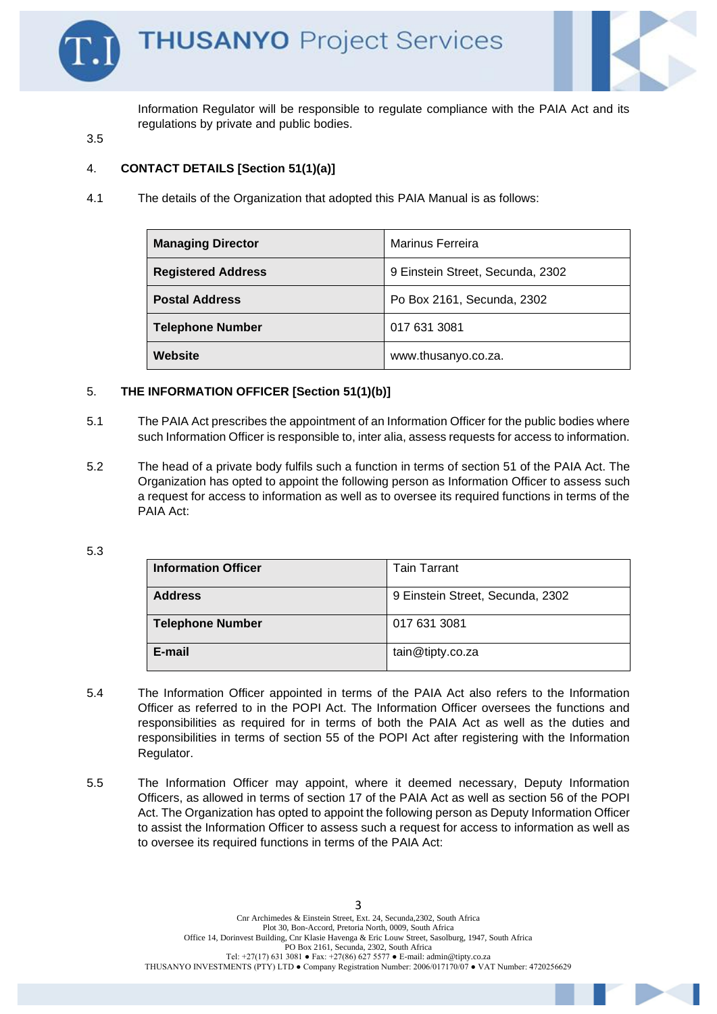

Information Regulator will be responsible to regulate compliance with the PAIA Act and its regulations by private and public bodies.

3.5

#### 4. **CONTACT DETAILS [Section 51(1)(a)]**

4.1 The details of the Organization that adopted this PAIA Manual is as follows:

| <b>Managing Director</b>  | Marinus Ferreira                 |
|---------------------------|----------------------------------|
| <b>Registered Address</b> | 9 Einstein Street, Secunda, 2302 |
| <b>Postal Address</b>     | Po Box 2161, Secunda, 2302       |
| <b>Telephone Number</b>   | 017 631 3081                     |
| Website                   | www.thusanyo.co.za.              |

#### 5. **THE INFORMATION OFFICER [Section 51(1)(b)]**

- 5.1 The PAIA Act prescribes the appointment of an Information Officer for the public bodies where such Information Officer is responsible to, inter alia, assess requests for access to information.
- 5.2 The head of a private body fulfils such a function in terms of section 51 of the PAIA Act. The Organization has opted to appoint the following person as Information Officer to assess such a request for access to information as well as to oversee its required functions in terms of the PAIA Act:

<sup>5.3</sup>

| <b>Information Officer</b> | <b>Tain Tarrant</b>              |
|----------------------------|----------------------------------|
| <b>Address</b>             | 9 Einstein Street, Secunda, 2302 |
| <b>Telephone Number</b>    | 017 631 3081                     |
| E-mail                     | tain@tipty.co.za                 |

- 5.4 The Information Officer appointed in terms of the PAIA Act also refers to the Information Officer as referred to in the POPI Act. The Information Officer oversees the functions and responsibilities as required for in terms of both the PAIA Act as well as the duties and responsibilities in terms of section 55 of the POPI Act after registering with the Information Regulator.
- 5.5 The Information Officer may appoint, where it deemed necessary, Deputy Information Officers, as allowed in terms of section 17 of the PAIA Act as well as section 56 of the POPI Act. The Organization has opted to appoint the following person as Deputy Information Officer to assist the Information Officer to assess such a request for access to information as well as to oversee its required functions in terms of the PAIA Act: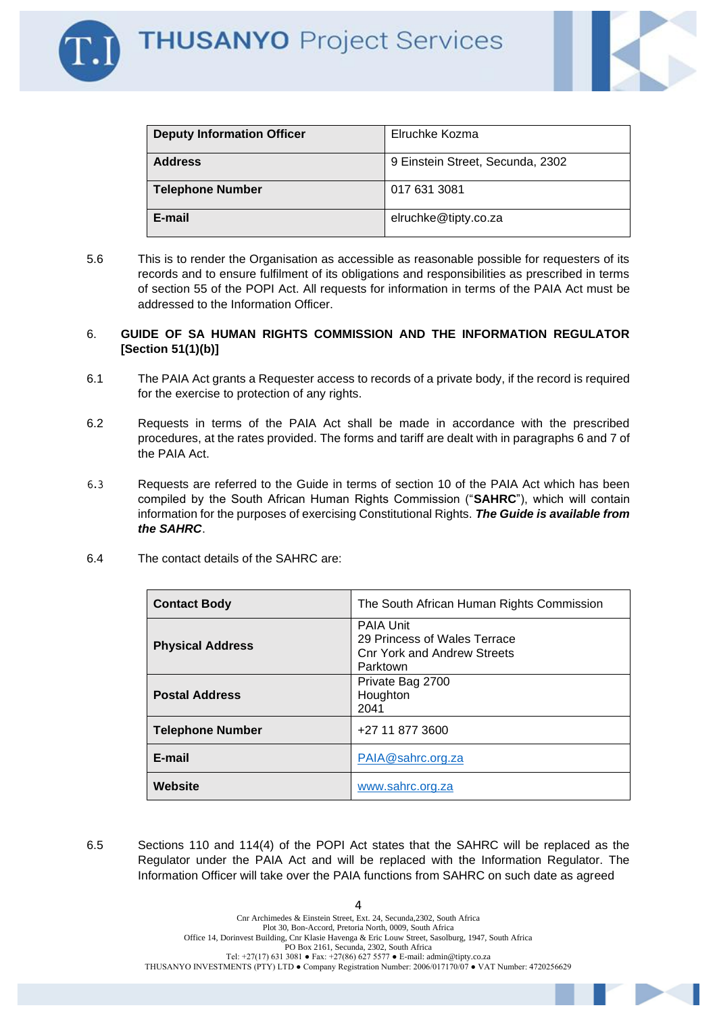

| <b>Deputy Information Officer</b> | Elruchke Kozma                   |
|-----------------------------------|----------------------------------|
| <b>Address</b>                    | 9 Einstein Street, Secunda, 2302 |
| <b>Telephone Number</b>           | 017 631 3081                     |
| E-mail                            | elruchke@tipty.co.za             |

5.6 This is to render the Organisation as accessible as reasonable possible for requesters of its records and to ensure fulfilment of its obligations and responsibilities as prescribed in terms of section 55 of the POPI Act. All requests for information in terms of the PAIA Act must be addressed to the Information Officer.

#### 6. **GUIDE OF SA HUMAN RIGHTS COMMISSION AND THE INFORMATION REGULATOR [Section 51(1)(b)]**

- 6.1 The PAIA Act grants a Requester access to records of a private body, if the record is required for the exercise to protection of any rights.
- 6.2 Requests in terms of the PAIA Act shall be made in accordance with the prescribed procedures, at the rates provided. The forms and tariff are dealt with in paragraphs 6 and 7 of the PAIA Act.
- 6.3 Requests are referred to the Guide in terms of section 10 of the PAIA Act which has been compiled by the South African Human Rights Commission ("**SAHRC**"), which will contain information for the purposes of exercising Constitutional Rights. *The Guide is available from the SAHRC*.
- 6.4 The contact details of the SAHRC are:

| <b>Contact Body</b>     | The South African Human Rights Commission                                                          |
|-------------------------|----------------------------------------------------------------------------------------------------|
| <b>Physical Address</b> | <b>PAIA Unit</b><br>29 Princess of Wales Terrace<br><b>Cnr York and Andrew Streets</b><br>Parktown |
| <b>Postal Address</b>   | Private Bag 2700<br>Houghton<br>2041                                                               |
| <b>Telephone Number</b> | +27 11 877 3600                                                                                    |
| E-mail                  | PAIA@sahrc.org.za                                                                                  |
| Website                 | www.sahrc.org.za                                                                                   |

6.5 Sections 110 and 114(4) of the POPI Act states that the SAHRC will be replaced as the Regulator under the PAIA Act and will be replaced with the Information Regulator. The Information Officer will take over the PAIA functions from SAHRC on such date as agreed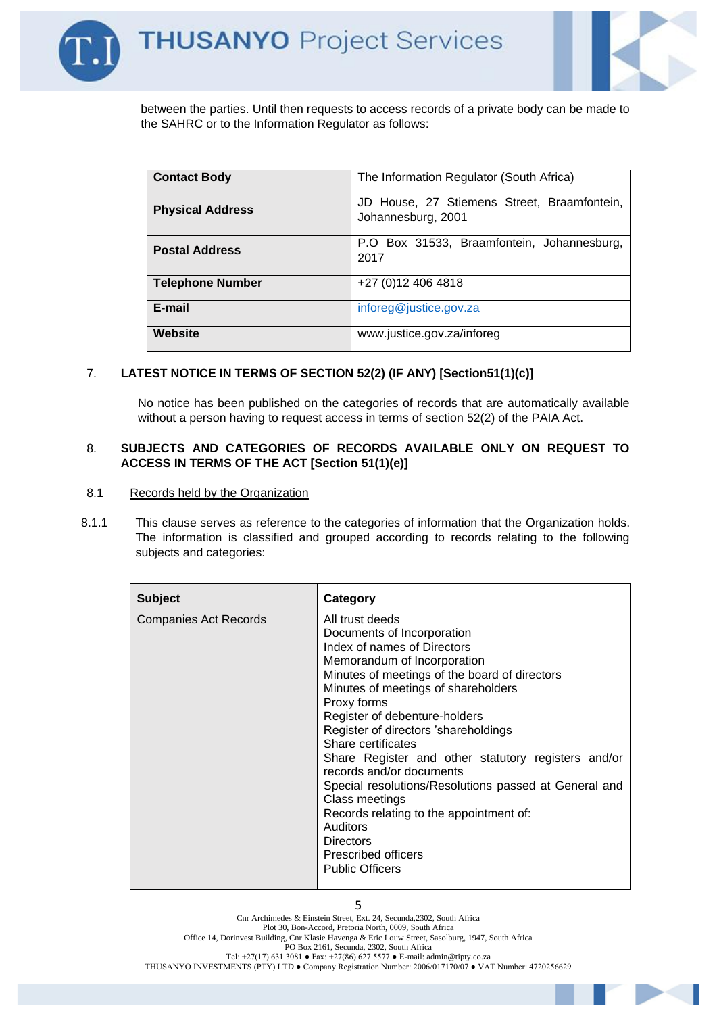



between the parties. Until then requests to access records of a private body can be made to the SAHRC or to the Information Regulator as follows:

| <b>Contact Body</b>     | The Information Regulator (South Africa)                          |
|-------------------------|-------------------------------------------------------------------|
| <b>Physical Address</b> | JD House, 27 Stiemens Street, Braamfontein,<br>Johannesburg, 2001 |
| <b>Postal Address</b>   | P.O Box 31533, Braamfontein, Johannesburg,<br>2017                |
| <b>Telephone Number</b> | +27 (0) 12 406 4818                                               |
| E-mail                  | inforeg@justice.gov.za                                            |
| Website                 | www.justice.gov.za/inforeg                                        |

#### 7. **LATEST NOTICE IN TERMS OF SECTION 52(2) (IF ANY) [Section51(1)(c)]**

No notice has been published on the categories of records that are automatically available without a person having to request access in terms of section 52(2) of the PAIA Act.

#### 8. **SUBJECTS AND CATEGORIES OF RECORDS AVAILABLE ONLY ON REQUEST TO ACCESS IN TERMS OF THE ACT [Section 51(1)(e)]**

- 8.1 Records held by the Organization
- 8.1.1 This clause serves as reference to the categories of information that the Organization holds. The information is classified and grouped according to records relating to the following subjects and categories:

| <b>Subject</b>               | <b>Category</b>                                                                                                                                                                                                                                                                                                                                                                                                                                                                                                                                                                                             |
|------------------------------|-------------------------------------------------------------------------------------------------------------------------------------------------------------------------------------------------------------------------------------------------------------------------------------------------------------------------------------------------------------------------------------------------------------------------------------------------------------------------------------------------------------------------------------------------------------------------------------------------------------|
| <b>Companies Act Records</b> | All trust deeds<br>Documents of Incorporation<br>Index of names of Directors<br>Memorandum of Incorporation<br>Minutes of meetings of the board of directors<br>Minutes of meetings of shareholders<br>Proxy forms<br>Register of debenture-holders<br>Register of directors 'shareholdings<br>Share certificates<br>Share Register and other statutory registers and/or<br>records and/or documents<br>Special resolutions/Resolutions passed at General and<br>Class meetings<br>Records relating to the appointment of:<br>Auditors<br>Directors<br><b>Prescribed officers</b><br><b>Public Officers</b> |

Cnr Archimedes & Einstein Street, Ext. 24, Secunda,2302, South Africa Plot 30, Bon-Accord, Pretoria North, 0009, South Africa Office 14, Dorinvest Building, Cnr Klasie Havenga & Eric Louw Street, Sasolburg, 1947, South Africa PO Box 2161, Secunda, 2302, South Africa Tel:  $+27(17)$  631 3081 • Fax:  $+27(86)$  627 5577 • E-mail: admin@tipty.co.za THUSANYO INVESTMENTS (PTY) LTD ● Company Registration Number: 2006/017170/07 ● VAT Number: 4720256629

5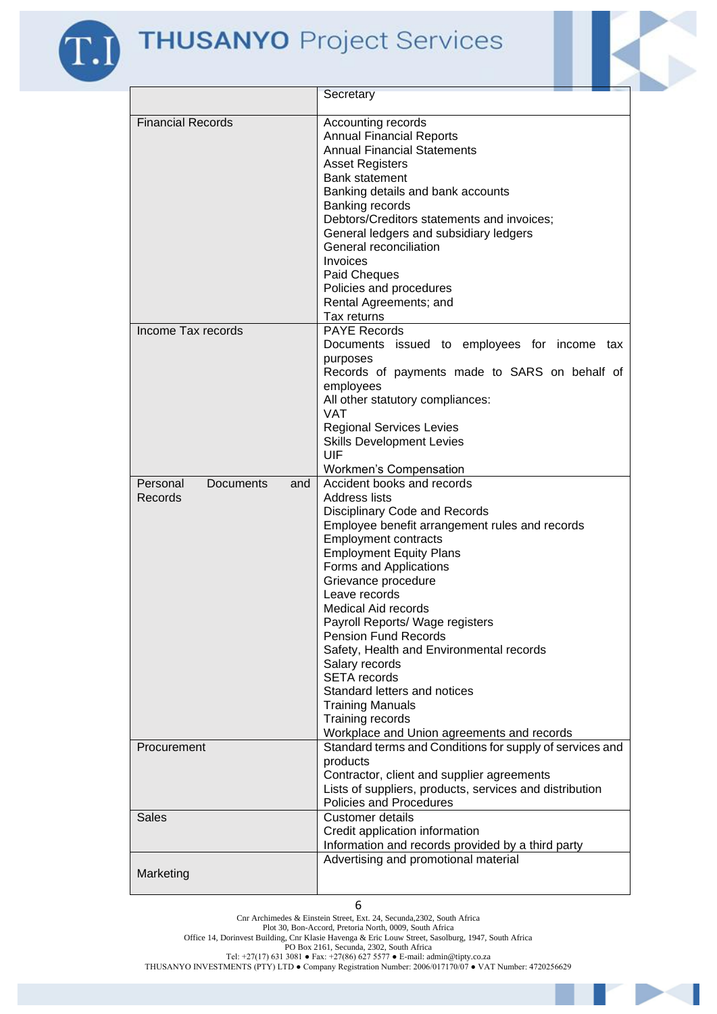$\sqrt{2}$ 



|                                                       | Secretary                                                                                                                                                                                                                                                                                                                                                                                                                                                                                                                                                                                  |
|-------------------------------------------------------|--------------------------------------------------------------------------------------------------------------------------------------------------------------------------------------------------------------------------------------------------------------------------------------------------------------------------------------------------------------------------------------------------------------------------------------------------------------------------------------------------------------------------------------------------------------------------------------------|
| <b>Financial Records</b>                              | Accounting records<br><b>Annual Financial Reports</b><br><b>Annual Financial Statements</b><br><b>Asset Registers</b><br>Bank statement<br>Banking details and bank accounts<br>Banking records<br>Debtors/Creditors statements and invoices;<br>General ledgers and subsidiary ledgers<br>General reconciliation<br>Invoices<br>Paid Cheques<br>Policies and procedures<br>Rental Agreements; and<br>Tax returns                                                                                                                                                                          |
| Income Tax records                                    | <b>PAYE Records</b><br>Documents issued to employees for income tax<br>purposes<br>Records of payments made to SARS on behalf of<br>employees<br>All other statutory compliances:<br><b>VAT</b><br><b>Regional Services Levies</b><br><b>Skills Development Levies</b><br>UIF<br>Workmen's Compensation                                                                                                                                                                                                                                                                                    |
| Personal<br><b>Documents</b><br>and<br><b>Records</b> | Accident books and records<br><b>Address lists</b><br>Disciplinary Code and Records<br>Employee benefit arrangement rules and records<br><b>Employment contracts</b><br><b>Employment Equity Plans</b><br>Forms and Applications<br>Grievance procedure<br>Leave records<br><b>Medical Aid records</b><br>Payroll Reports/ Wage registers<br><b>Pension Fund Records</b><br>Safety, Health and Environmental records<br>Salary records<br><b>SETA</b> records<br>Standard letters and notices<br><b>Training Manuals</b><br>Training records<br>Workplace and Union agreements and records |
| Procurement                                           | Standard terms and Conditions for supply of services and<br>products<br>Contractor, client and supplier agreements<br>Lists of suppliers, products, services and distribution<br>Policies and Procedures                                                                                                                                                                                                                                                                                                                                                                                   |
| <b>Sales</b>                                          | <b>Customer details</b><br>Credit application information<br>Information and records provided by a third party                                                                                                                                                                                                                                                                                                                                                                                                                                                                             |
| Marketing                                             | Advertising and promotional material                                                                                                                                                                                                                                                                                                                                                                                                                                                                                                                                                       |

Cnr Archimedes & Einstein Street, Ext. 24, Secunda,2302, South Africa

Plot 30, Bon-Accord, Pretoria North, 0009, South Africa

Office 14, Dorinvest Building, Cnr Klasie Havenga & Eric Louw Street, Sasolburg, 1947, South Africa

PO Box 2161, Secunda, 2302, South Africa

Tel: +27(17) 631 3081 ● Fax: +27(86) 627 5577 ● E-mail: admin@tipty.co.za THUSANYO INVESTMENTS (PTY) LTD ● Company Registration Number: 2006/017170/07 ● VAT Number: 4720256629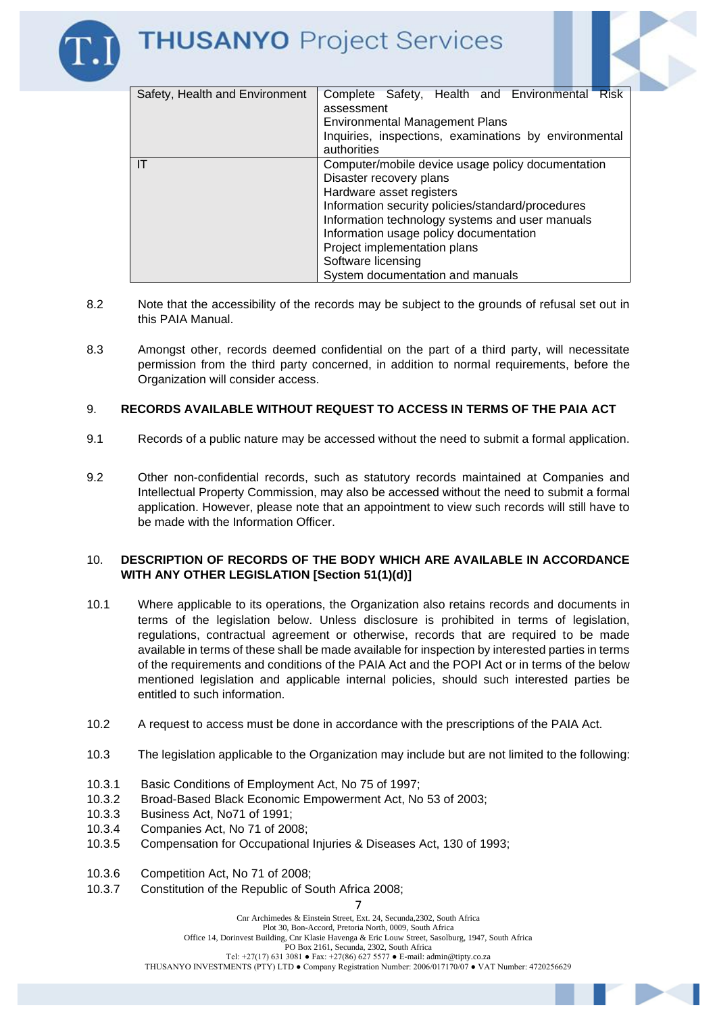

- 8.2 Note that the accessibility of the records may be subject to the grounds of refusal set out in this PAIA Manual.
- 8.3 Amongst other, records deemed confidential on the part of a third party, will necessitate permission from the third party concerned, in addition to normal requirements, before the Organization will consider access.

#### 9. **RECORDS AVAILABLE WITHOUT REQUEST TO ACCESS IN TERMS OF THE PAIA ACT**

- 9.1 Records of a public nature may be accessed without the need to submit a formal application.
- 9.2 Other non-confidential records, such as statutory records maintained at Companies and Intellectual Property Commission, may also be accessed without the need to submit a formal application. However, please note that an appointment to view such records will still have to be made with the Information Officer.

#### 10. **DESCRIPTION OF RECORDS OF THE BODY WHICH ARE AVAILABLE IN ACCORDANCE WITH ANY OTHER LEGISLATION [Section 51(1)(d)]**

- 10.1 Where applicable to its operations, the Organization also retains records and documents in terms of the legislation below. Unless disclosure is prohibited in terms of legislation, regulations, contractual agreement or otherwise, records that are required to be made available in terms of these shall be made available for inspection by interested parties in terms of the requirements and conditions of the PAIA Act and the POPI Act or in terms of the below mentioned legislation and applicable internal policies, should such interested parties be entitled to such information.
- 10.2 A request to access must be done in accordance with the prescriptions of the PAIA Act.
- 10.3 The legislation applicable to the Organization may include but are not limited to the following:
- 10.3.1 Basic Conditions of Employment Act, No 75 of 1997;
- 10.3.2 Broad-Based Black Economic Empowerment Act, No 53 of 2003;
- 10.3.3 Business Act, No71 of 1991;
- 10.3.4 Companies Act, No 71 of 2008;
- 10.3.5 Compensation for Occupational Injuries & Diseases Act, 130 of 1993;
- 10.3.6 Competition Act, No 71 of 2008;
- 10.3.7 Constitution of the Republic of South Africa 2008;

Cnr Archimedes & Einstein Street, Ext. 24, Secunda,2302, South Africa

Plot 30, Bon-Accord, Pretoria North, 0009, South Africa Office 14, Dorinvest Building, Cnr Klasie Havenga & Eric Louw Street, Sasolburg, 1947, South Africa PO Box 2161, Secunda, 2302, South Africa Tel:  $+27(17)$  631 3081 • Fax:  $+27(86)$  627 5577 • E-mail: admin@tipty.co.za THUSANYO INVESTMENTS (PTY) LTD ● Company Registration Number: 2006/017170/07 ● VAT Number: 4720256629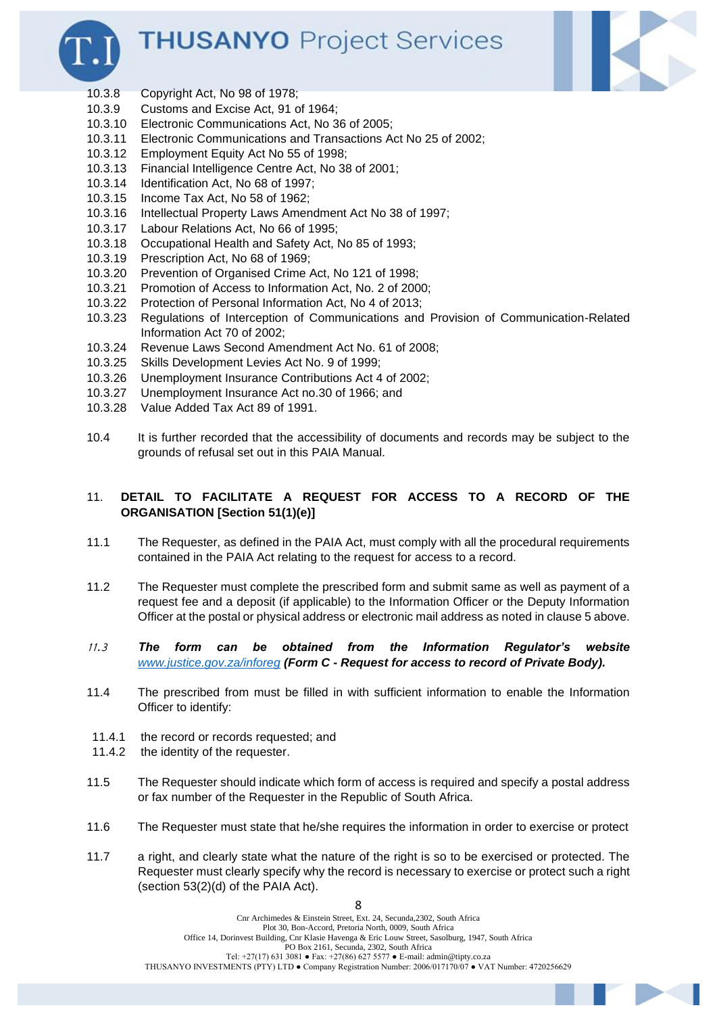



- 10.3.8 Copyright Act, No 98 of 1978;
- 10.3.9 Customs and Excise Act, 91 of 1964;
- 10.3.10 Electronic Communications Act, No 36 of 2005;
- 10.3.11 Electronic Communications and Transactions Act No 25 of 2002;
- 10.3.12 Employment Equity Act No 55 of 1998;
- 10.3.13 Financial Intelligence Centre Act, No 38 of 2001;
- 10.3.14 Identification Act, No 68 of 1997;
- 10.3.15 Income Tax Act, No 58 of 1962;
- 10.3.16 Intellectual Property Laws Amendment Act No 38 of 1997;
- 10.3.17 Labour Relations Act, No 66 of 1995;
- 10.3.18 Occupational Health and Safety Act, No 85 of 1993;
- 10.3.19 Prescription Act, No 68 of 1969;
- 10.3.20 Prevention of Organised Crime Act, No 121 of 1998;
- 10.3.21 Promotion of Access to Information Act, No. 2 of 2000;
- 10.3.22 Protection of Personal Information Act, No 4 of 2013;
- 10.3.23 Regulations of Interception of Communications and Provision of Communication-Related Information Act 70 of 2002;
- 10.3.24 Revenue Laws Second Amendment Act No. 61 of 2008;
- 10.3.25 Skills Development Levies Act No. 9 of 1999;
- 10.3.26 Unemployment Insurance Contributions Act 4 of 2002;
- 10.3.27 Unemployment Insurance Act no.30 of 1966; and
- 10.3.28 Value Added Tax Act 89 of 1991.
- 10.4 It is further recorded that the accessibility of documents and records may be subject to the grounds of refusal set out in this PAIA Manual.

#### 11. **DETAIL TO FACILITATE A REQUEST FOR ACCESS TO A RECORD OF THE ORGANISATION [Section 51(1)(e)]**

- 11.1 The Requester, as defined in the PAIA Act, must comply with all the procedural requirements contained in the PAIA Act relating to the request for access to a record.
- 11.2 The Requester must complete the prescribed form and submit same as well as payment of a request fee and a deposit (if applicable) to the Information Officer or the Deputy Information Officer at the postal or physical address or electronic mail address as noted in clause 5 above.
- 11.3 *The form can be obtained from the Information Regulator's website [www.justice.gov.za/inforeg](http://www.justice.gov.za/inforeg) (Form C - Request for access to record of Private Body).*
- 11.4 The prescribed from must be filled in with sufficient information to enable the Information Officer to identify:
- 11.4.1 the record or records requested; and
- 11.4.2 the identity of the requester.
- 11.5 The Requester should indicate which form of access is required and specify a postal address or fax number of the Requester in the Republic of South Africa.
- 11.6 The Requester must state that he/she requires the information in order to exercise or protect
- 11.7 a right, and clearly state what the nature of the right is so to be exercised or protected. The Requester must clearly specify why the record is necessary to exercise or protect such a right (section 53(2)(d) of the PAIA Act).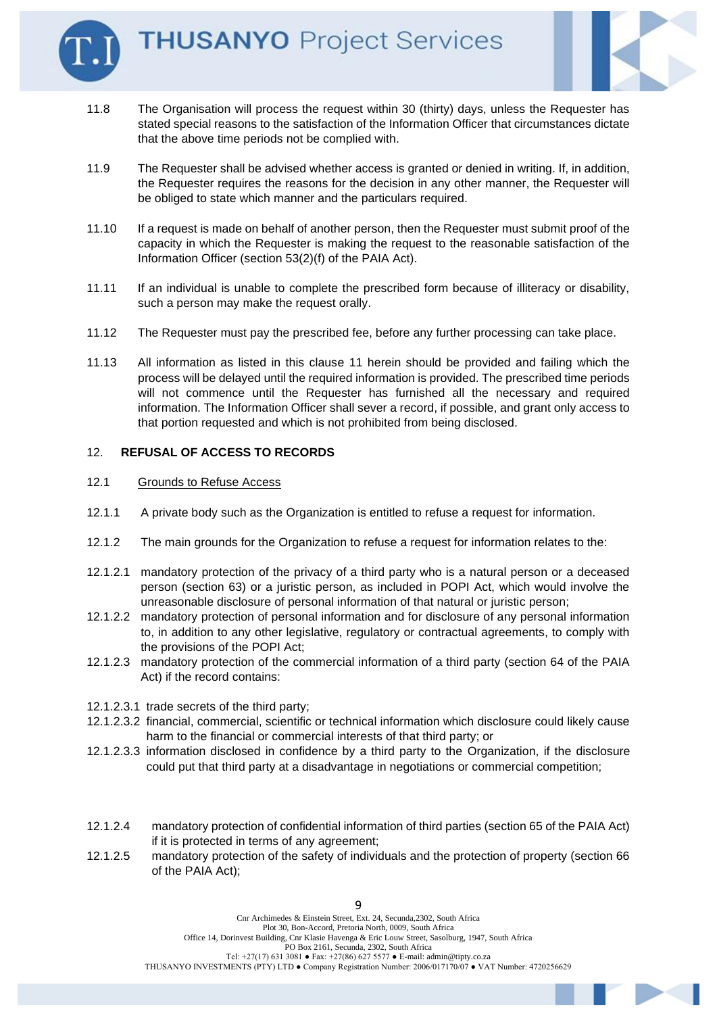

- 11.8 The Organisation will process the request within 30 (thirty) days, unless the Requester has stated special reasons to the satisfaction of the Information Officer that circumstances dictate that the above time periods not be complied with.
- 11.9 The Requester shall be advised whether access is granted or denied in writing. If, in addition, the Requester requires the reasons for the decision in any other manner, the Requester will be obliged to state which manner and the particulars required.
- 11.10 If a request is made on behalf of another person, then the Requester must submit proof of the capacity in which the Requester is making the request to the reasonable satisfaction of the Information Officer (section 53(2)(f) of the PAIA Act).
- 11.11 If an individual is unable to complete the prescribed form because of illiteracy or disability, such a person may make the request orally.
- 11.12 The Requester must pay the prescribed fee, before any further processing can take place.
- 11.13 All information as listed in this clause 11 herein should be provided and failing which the process will be delayed until the required information is provided. The prescribed time periods will not commence until the Requester has furnished all the necessary and required information. The Information Officer shall sever a record, if possible, and grant only access to that portion requested and which is not prohibited from being disclosed.

#### 12. **REFUSAL OF ACCESS TO RECORDS**

#### 12.1 Grounds to Refuse Access

- 12.1.1 A private body such as the Organization is entitled to refuse a request for information.
- 12.1.2 The main grounds for the Organization to refuse a request for information relates to the:
- 12.1.2.1 mandatory protection of the privacy of a third party who is a natural person or a deceased person (section 63) or a juristic person, as included in POPI Act, which would involve the unreasonable disclosure of personal information of that natural or juristic person;
- 12.1.2.2 mandatory protection of personal information and for disclosure of any personal information to, in addition to any other legislative, regulatory or contractual agreements, to comply with the provisions of the POPI Act;
- 12.1.2.3 mandatory protection of the commercial information of a third party (section 64 of the PAIA Act) if the record contains:
- 12.1.2.3.1 trade secrets of the third party;
- 12.1.2.3.2 financial, commercial, scientific or technical information which disclosure could likely cause harm to the financial or commercial interests of that third party; or
- 12.1.2.3.3 information disclosed in confidence by a third party to the Organization, if the disclosure could put that third party at a disadvantage in negotiations or commercial competition;
- 12.1.2.4 mandatory protection of confidential information of third parties (section 65 of the PAIA Act) if it is protected in terms of any agreement;
- 12.1.2.5 mandatory protection of the safety of individuals and the protection of property (section 66 of the PAIA Act);

 $\overline{q}$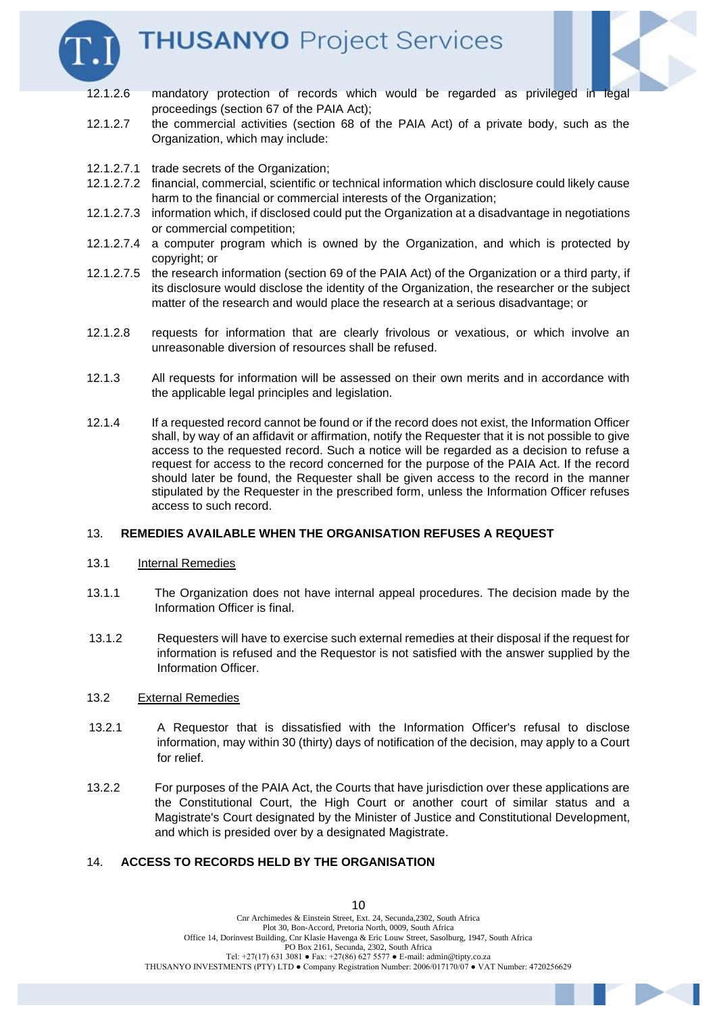



- 12.1.2.6 mandatory protection of records which would be regarded as privileged in legal proceedings (section 67 of the PAIA Act);
- 12.1.2.7 the commercial activities (section 68 of the PAIA Act) of a private body, such as the Organization, which may include:
- 12.1.2.7.1 trade secrets of the Organization;
- 12.1.2.7.2 financial, commercial, scientific or technical information which disclosure could likely cause harm to the financial or commercial interests of the Organization:
- 12.1.2.7.3 information which, if disclosed could put the Organization at a disadvantage in negotiations or commercial competition;
- 12.1.2.7.4 a computer program which is owned by the Organization, and which is protected by copyright; or
- 12.1.2.7.5 the research information (section 69 of the PAIA Act) of the Organization or a third party, if its disclosure would disclose the identity of the Organization, the researcher or the subject matter of the research and would place the research at a serious disadvantage; or
- 12.1.2.8 requests for information that are clearly frivolous or vexatious, or which involve an unreasonable diversion of resources shall be refused.
- 12.1.3 All requests for information will be assessed on their own merits and in accordance with the applicable legal principles and legislation.
- 12.1.4 If a requested record cannot be found or if the record does not exist, the Information Officer shall, by way of an affidavit or affirmation, notify the Requester that it is not possible to give access to the requested record. Such a notice will be regarded as a decision to refuse a request for access to the record concerned for the purpose of the PAIA Act. If the record should later be found, the Requester shall be given access to the record in the manner stipulated by the Requester in the prescribed form, unless the Information Officer refuses access to such record.

#### 13. **REMEDIES AVAILABLE WHEN THE ORGANISATION REFUSES A REQUEST**

- 13.1 Internal Remedies
- 13.1.1 The Organization does not have internal appeal procedures. The decision made by the Information Officer is final.
- 13.1.2 Requesters will have to exercise such external remedies at their disposal if the request for information is refused and the Requestor is not satisfied with the answer supplied by the Information Officer.

#### 13.2 External Remedies

- 13.2.1 A Requestor that is dissatisfied with the Information Officer's refusal to disclose information, may within 30 (thirty) days of notification of the decision, may apply to a Court for relief.
- 13.2.2 For purposes of the PAIA Act, the Courts that have jurisdiction over these applications are the Constitutional Court, the High Court or another court of similar status and a Magistrate's Court designated by the Minister of Justice and Constitutional Development, and which is presided over by a designated Magistrate.

#### 14. **ACCESS TO RECORDS HELD BY THE ORGANISATION**

10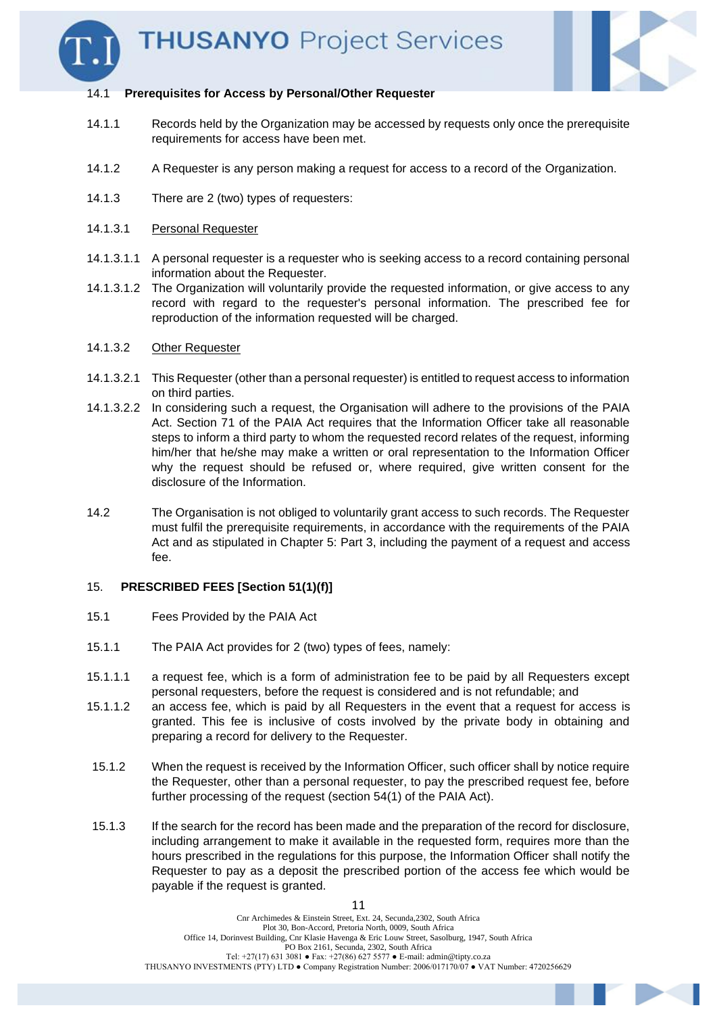

#### 14.1 **Prerequisites for Access by Personal/Other Requester**

- 14.1.1 Records held by the Organization may be accessed by requests only once the prerequisite requirements for access have been met.
- 14.1.2 A Requester is any person making a request for access to a record of the Organization.
- 14.1.3 There are 2 (two) types of requesters:

#### 14.1.3.1 Personal Requester

- 14.1.3.1.1 A personal requester is a requester who is seeking access to a record containing personal information about the Requester.
- 14.1.3.1.2 The Organization will voluntarily provide the requested information, or give access to any record with regard to the requester's personal information. The prescribed fee for reproduction of the information requested will be charged.

#### 14.1.3.2 Other Requester

- 14.1.3.2.1 This Requester (other than a personal requester) is entitled to request access to information on third parties.
- 14.1.3.2.2 In considering such a request, the Organisation will adhere to the provisions of the PAIA Act. Section 71 of the PAIA Act requires that the Information Officer take all reasonable steps to inform a third party to whom the requested record relates of the request, informing him/her that he/she may make a written or oral representation to the Information Officer why the request should be refused or, where required, give written consent for the disclosure of the Information.
- 14.2 The Organisation is not obliged to voluntarily grant access to such records. The Requester must fulfil the prerequisite requirements, in accordance with the requirements of the PAIA Act and as stipulated in Chapter 5: Part 3, including the payment of a request and access fee.

#### 15. **PRESCRIBED FEES [Section 51(1)(f)]**

- 15.1 Fees Provided by the PAIA Act
- 15.1.1 The PAIA Act provides for 2 (two) types of fees, namely:
- 15.1.1.1 a request fee, which is a form of administration fee to be paid by all Requesters except personal requesters, before the request is considered and is not refundable; and
- 15.1.1.2 an access fee, which is paid by all Requesters in the event that a request for access is granted. This fee is inclusive of costs involved by the private body in obtaining and preparing a record for delivery to the Requester.
- 15.1.2 When the request is received by the Information Officer, such officer shall by notice require the Requester, other than a personal requester, to pay the prescribed request fee, before further processing of the request (section 54(1) of the PAIA Act).
- 15.1.3 If the search for the record has been made and the preparation of the record for disclosure, including arrangement to make it available in the requested form, requires more than the hours prescribed in the regulations for this purpose, the Information Officer shall notify the Requester to pay as a deposit the prescribed portion of the access fee which would be payable if the request is granted.

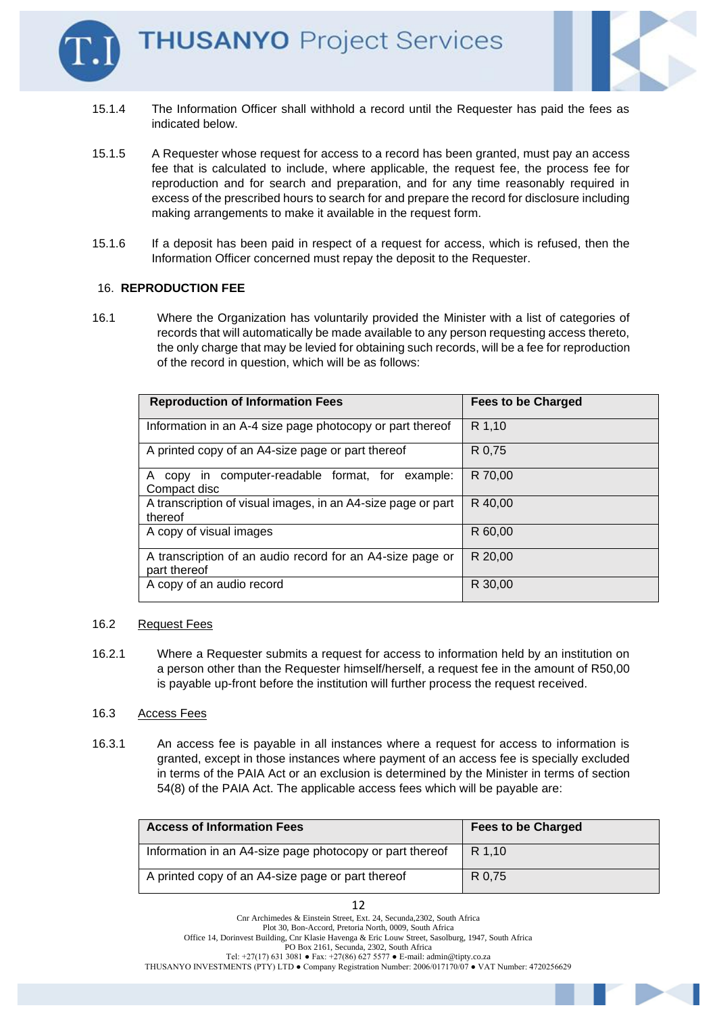

- 15.1.4 The Information Officer shall withhold a record until the Requester has paid the fees as indicated below.
- 15.1.5 A Requester whose request for access to a record has been granted, must pay an access fee that is calculated to include, where applicable, the request fee, the process fee for reproduction and for search and preparation, and for any time reasonably required in excess of the prescribed hours to search for and prepare the record for disclosure including making arrangements to make it available in the request form.
- 15.1.6 If a deposit has been paid in respect of a request for access, which is refused, then the Information Officer concerned must repay the deposit to the Requester.

#### 16. **REPRODUCTION FEE**

16.1 Where the Organization has voluntarily provided the Minister with a list of categories of records that will automatically be made available to any person requesting access thereto, the only charge that may be levied for obtaining such records, will be a fee for reproduction of the record in question, which will be as follows:

| <b>Reproduction of Information Fees</b>                                   | <b>Fees to be Charged</b> |
|---------------------------------------------------------------------------|---------------------------|
| Information in an A-4 size page photocopy or part thereof                 | R 1,10                    |
| A printed copy of an A4-size page or part thereof                         | R 0.75                    |
| A copy in computer-readable format, for example:<br>Compact disc          | R 70,00                   |
| A transcription of visual images, in an A4-size page or part<br>thereof   | R 40,00                   |
| A copy of visual images                                                   | R 60.00                   |
| A transcription of an audio record for an A4-size page or<br>part thereof | R 20,00                   |
| A copy of an audio record                                                 | R 30,00                   |

#### 16.2 Request Fees

16.2.1 Where a Requester submits a request for access to information held by an institution on a person other than the Requester himself/herself, a request fee in the amount of R50,00 is payable up-front before the institution will further process the request received.

#### 16.3 Access Fees

16.3.1 An access fee is payable in all instances where a request for access to information is granted, except in those instances where payment of an access fee is specially excluded in terms of the PAIA Act or an exclusion is determined by the Minister in terms of section 54(8) of the PAIA Act. The applicable access fees which will be payable are:

| <b>Access of Information Fees</b>                        | <b>Fees to be Charged</b> |
|----------------------------------------------------------|---------------------------|
| Information in an A4-size page photocopy or part thereof | R 1.10                    |
| A printed copy of an A4-size page or part thereof        | R 0.75                    |

12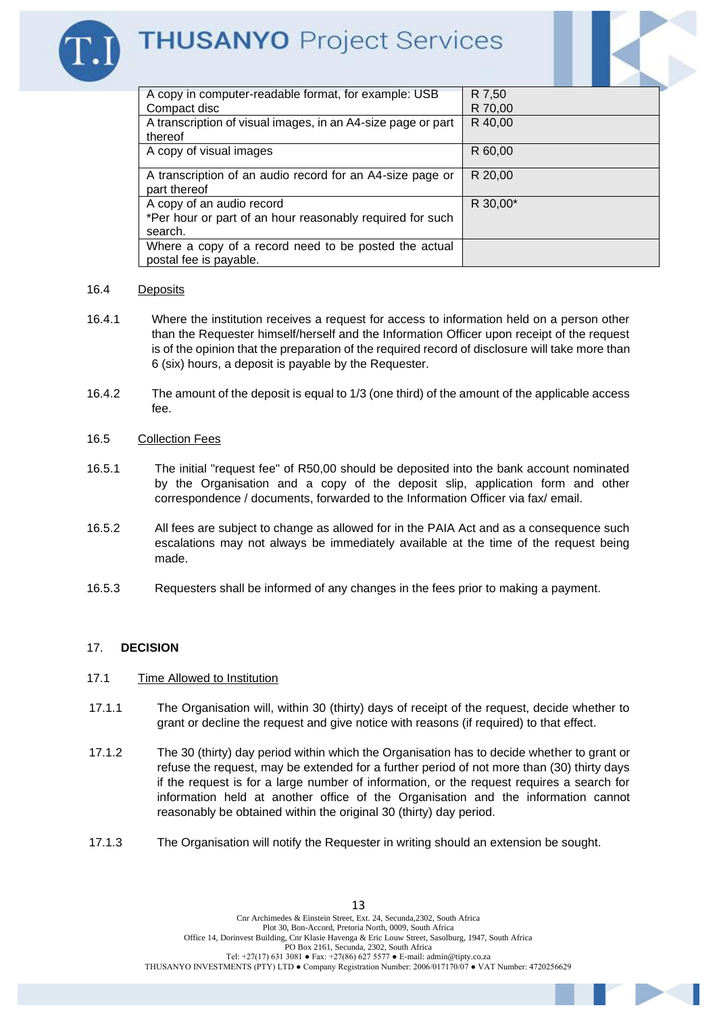

| R 7,50   |
|----------|
| R 70,00  |
| R 40,00  |
|          |
| R 60,00  |
|          |
| R 20,00  |
|          |
| R 30.00* |
|          |
|          |
|          |
|          |
|          |

#### 16.4 Deposits

- 16.4.1 Where the institution receives a request for access to information held on a person other than the Requester himself/herself and the Information Officer upon receipt of the request is of the opinion that the preparation of the required record of disclosure will take more than 6 (six) hours, a deposit is payable by the Requester.
- 16.4.2 The amount of the deposit is equal to 1/3 (one third) of the amount of the applicable access fee.

#### 16.5 Collection Fees

- 16.5.1 The initial "request fee" of R50,00 should be deposited into the bank account nominated by the Organisation and a copy of the deposit slip, application form and other correspondence / documents, forwarded to the Information Officer via fax/ email.
- 16.5.2 All fees are subject to change as allowed for in the PAIA Act and as a consequence such escalations may not always be immediately available at the time of the request being made.
- 16.5.3 Requesters shall be informed of any changes in the fees prior to making a payment.

#### 17. **DECISION**

#### 17.1 Time Allowed to Institution

- 17.1.1 The Organisation will, within 30 (thirty) days of receipt of the request, decide whether to grant or decline the request and give notice with reasons (if required) to that effect.
- 17.1.2 The 30 (thirty) day period within which the Organisation has to decide whether to grant or refuse the request, may be extended for a further period of not more than (30) thirty days if the request is for a large number of information, or the request requires a search for information held at another office of the Organisation and the information cannot reasonably be obtained within the original 30 (thirty) day period.
- 17.1.3 The Organisation will notify the Requester in writing should an extension be sought.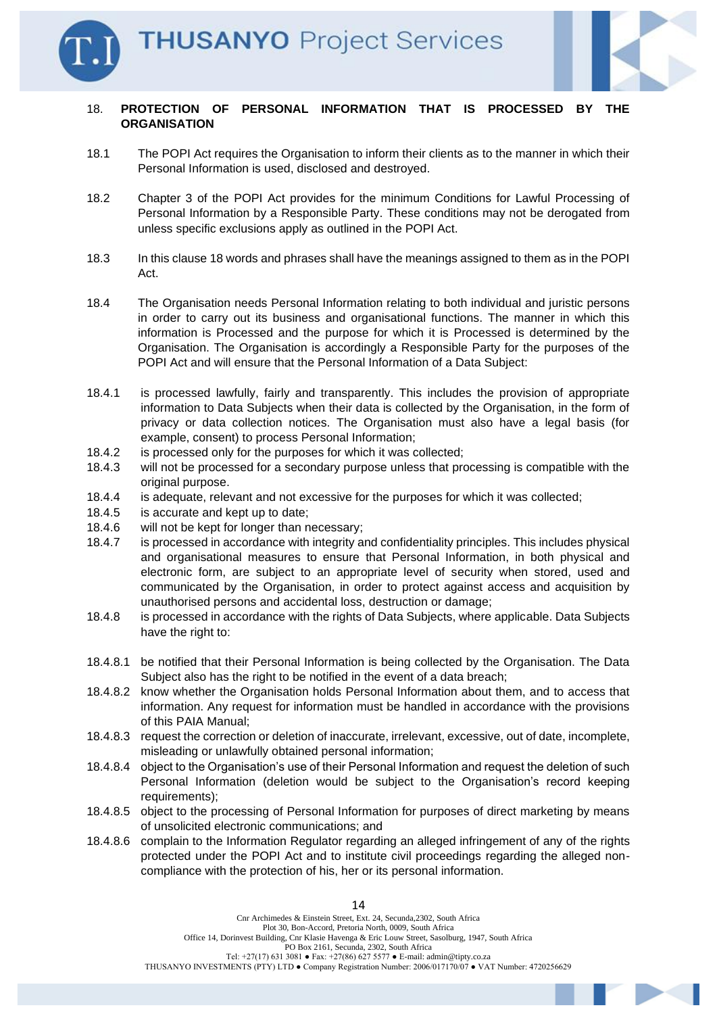

#### 18. **PROTECTION OF PERSONAL INFORMATION THAT IS PROCESSED BY THE ORGANISATION**

- 18.1 The POPI Act requires the Organisation to inform their clients as to the manner in which their Personal Information is used, disclosed and destroyed.
- 18.2 Chapter 3 of the POPI Act provides for the minimum Conditions for Lawful Processing of Personal Information by a Responsible Party. These conditions may not be derogated from unless specific exclusions apply as outlined in the POPI Act.
- 18.3 In this clause 18 words and phrases shall have the meanings assigned to them as in the POPI Act.
- 18.4 The Organisation needs Personal Information relating to both individual and juristic persons in order to carry out its business and organisational functions. The manner in which this information is Processed and the purpose for which it is Processed is determined by the Organisation. The Organisation is accordingly a Responsible Party for the purposes of the POPI Act and will ensure that the Personal Information of a Data Subject:
- 18.4.1 is processed lawfully, fairly and transparently. This includes the provision of appropriate information to Data Subjects when their data is collected by the Organisation, in the form of privacy or data collection notices. The Organisation must also have a legal basis (for example, consent) to process Personal Information;
- 18.4.2 is processed only for the purposes for which it was collected;
- 18.4.3 will not be processed for a secondary purpose unless that processing is compatible with the original purpose.
- 18.4.4 is adequate, relevant and not excessive for the purposes for which it was collected;
- 18.4.5 is accurate and kept up to date;
- 18.4.6 will not be kept for longer than necessary;
- 18.4.7 is processed in accordance with integrity and confidentiality principles. This includes physical and organisational measures to ensure that Personal Information, in both physical and electronic form, are subject to an appropriate level of security when stored, used and communicated by the Organisation, in order to protect against access and acquisition by unauthorised persons and accidental loss, destruction or damage;
- 18.4.8 is processed in accordance with the rights of Data Subjects, where applicable. Data Subjects have the right to:
- 18.4.8.1 be notified that their Personal Information is being collected by the Organisation. The Data Subject also has the right to be notified in the event of a data breach;
- 18.4.8.2 know whether the Organisation holds Personal Information about them, and to access that information. Any request for information must be handled in accordance with the provisions of this PAIA Manual;
- 18.4.8.3 request the correction or deletion of inaccurate, irrelevant, excessive, out of date, incomplete, misleading or unlawfully obtained personal information;
- 18.4.8.4 object to the Organisation's use of their Personal Information and request the deletion of such Personal Information (deletion would be subject to the Organisation's record keeping requirements);
- 18.4.8.5 object to the processing of Personal Information for purposes of direct marketing by means of unsolicited electronic communications; and
- 18.4.8.6 complain to the Information Regulator regarding an alleged infringement of any of the rights protected under the POPI Act and to institute civil proceedings regarding the alleged noncompliance with the protection of his, her or its personal information.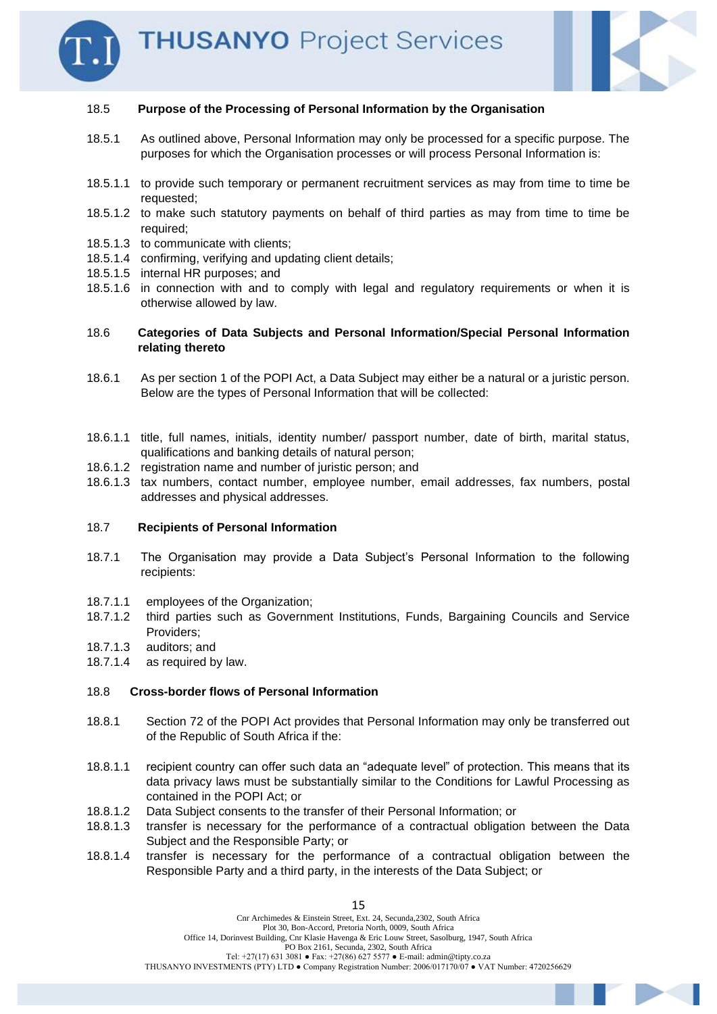



#### 18.5 **Purpose of the Processing of Personal Information by the Organisation**

- 18.5.1 As outlined above, Personal Information may only be processed for a specific purpose. The purposes for which the Organisation processes or will process Personal Information is:
- 18.5.1.1 to provide such temporary or permanent recruitment services as may from time to time be requested;
- 18.5.1.2 to make such statutory payments on behalf of third parties as may from time to time be required;
- 18.5.1.3 to communicate with clients;
- 18.5.1.4 confirming, verifying and updating client details;
- 18.5.1.5 internal HR purposes; and
- 18.5.1.6 in connection with and to comply with legal and regulatory requirements or when it is otherwise allowed by law.

#### 18.6 **Categories of Data Subjects and Personal Information/Special Personal Information relating thereto**

- 18.6.1 As per section 1 of the POPI Act, a Data Subject may either be a natural or a juristic person. Below are the types of Personal Information that will be collected:
- 18.6.1.1 title, full names, initials, identity number/ passport number, date of birth, marital status, qualifications and banking details of natural person;
- 18.6.1.2 registration name and number of juristic person; and
- 18.6.1.3 tax numbers, contact number, employee number, email addresses, fax numbers, postal addresses and physical addresses.

#### 18.7 **Recipients of Personal Information**

- 18.7.1 The Organisation may provide a Data Subject's Personal Information to the following recipients:
- 18.7.1.1 employees of the Organization;
- 18.7.1.2 third parties such as Government Institutions, Funds, Bargaining Councils and Service Providers;
- 18.7.1.3 auditors; and
- 18.7.1.4 as required by law.

#### 18.8 **Cross-border flows of Personal Information**

- 18.8.1 Section 72 of the POPI Act provides that Personal Information may only be transferred out of the Republic of South Africa if the:
- 18.8.1.1 recipient country can offer such data an "adequate level" of protection. This means that its data privacy laws must be substantially similar to the Conditions for Lawful Processing as contained in the POPI Act; or
- 18.8.1.2 Data Subject consents to the transfer of their Personal Information; or
- 18.8.1.3 transfer is necessary for the performance of a contractual obligation between the Data Subject and the Responsible Party; or
- 18.8.1.4 transfer is necessary for the performance of a contractual obligation between the Responsible Party and a third party, in the interests of the Data Subject; or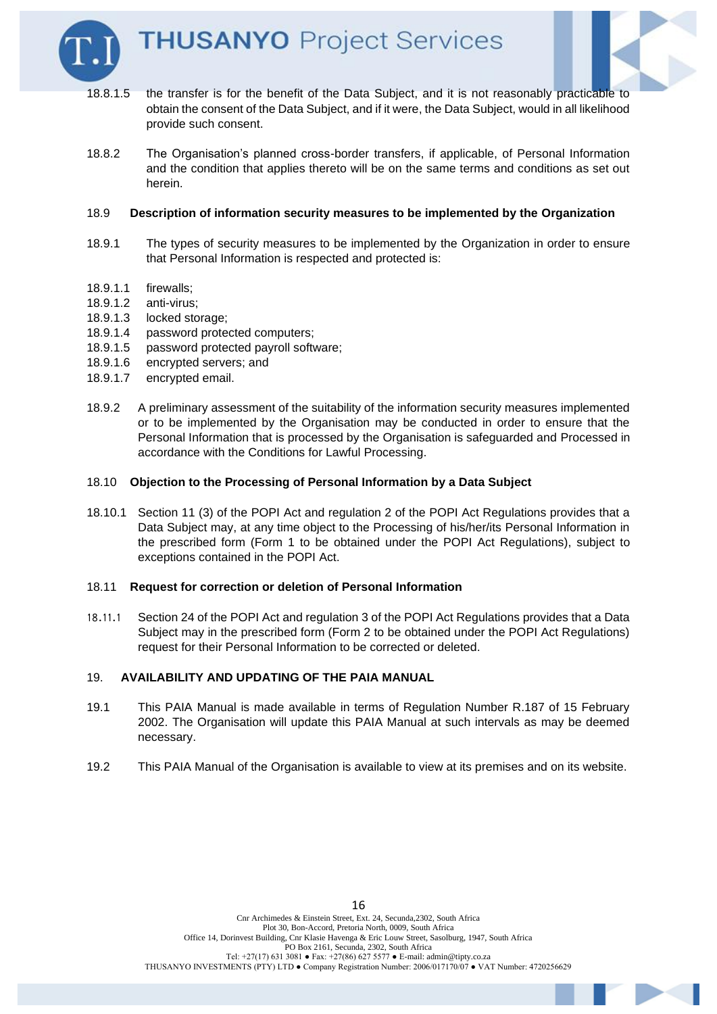



- 18.8.1.5 the transfer is for the benefit of the Data Subject, and it is not reasonably practicable to obtain the consent of the Data Subject, and if it were, the Data Subject, would in all likelihood provide such consent.
- 18.8.2 The Organisation's planned cross-border transfers, if applicable, of Personal Information and the condition that applies thereto will be on the same terms and conditions as set out herein.

#### 18.9 **Description of information security measures to be implemented by the Organization**

- 18.9.1 The types of security measures to be implemented by the Organization in order to ensure that Personal Information is respected and protected is:
- 18.9.1.1 firewalls;
- 18.9.1.2 anti-virus;
- 18.9.1.3 locked storage;
- 18.9.1.4 password protected computers;
- 18.9.1.5 password protected payroll software;
- 18.9.1.6 encrypted servers; and
- 18.9.1.7 encrypted email.
- 18.9.2 A preliminary assessment of the suitability of the information security measures implemented or to be implemented by the Organisation may be conducted in order to ensure that the Personal Information that is processed by the Organisation is safeguarded and Processed in accordance with the Conditions for Lawful Processing.

#### 18.10 **Objection to the Processing of Personal Information by a Data Subject**

18.10.1 Section 11 (3) of the POPI Act and regulation 2 of the POPI Act Regulations provides that a Data Subject may, at any time object to the Processing of his/her/its Personal Information in the prescribed form (Form 1 to be obtained under the POPI Act Regulations), subject to exceptions contained in the POPI Act.

#### 18.11 **Request for correction or deletion of Personal Information**

18.11.1 Section 24 of the POPI Act and regulation 3 of the POPI Act Regulations provides that a Data Subject may in the prescribed form (Form 2 to be obtained under the POPI Act Regulations) request for their Personal Information to be corrected or deleted.

#### 19. **AVAILABILITY AND UPDATING OF THE PAIA MANUAL**

- 19.1 This PAIA Manual is made available in terms of Regulation Number R.187 of 15 February 2002. The Organisation will update this PAIA Manual at such intervals as may be deemed necessary.
- 19.2 This PAIA Manual of the Organisation is available to view at its premises and on its website.